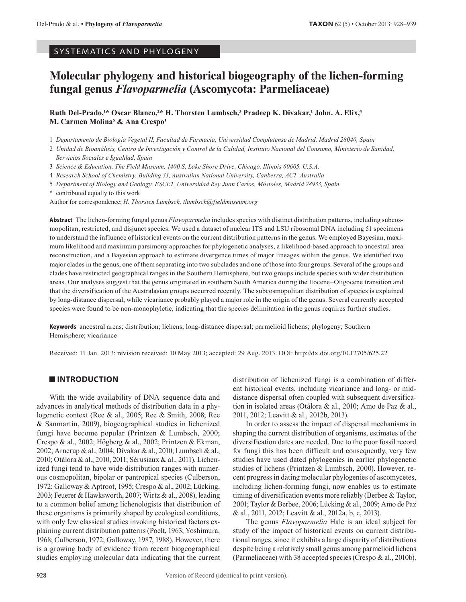SYSTEMATICS AND PHYLOGENY

# **Molecular phylogeny and historical biogeography of the lichen-forming fungal genus** *Flavoparmelia* **(Ascomycota: Parmeliaceae)**

**Ruth Del-Prado,1\* Oscar Blanco,2\* H. Thorsten Lumbsch,3 Pradeep K. Divakar,1 John. A. Elix,4 M. Carmen Molina5 & Ana Crespo1**

1 *Departamento de Biología Vegetal II, Facultad de Farmacia, Universidad Complutense de Madrid, Madrid 28040, Spain*

2 *Unidad de Bioanálisis, Centro de Investigación y Control de la Calidad, Instituto Nacional del Consumo, Ministerio de Sanidad, Servicios Sociales e Igualdad, Spain*

3 *Science & Education, The Field Museum, 1400 S. Lake Shore Drive, Chicago, Illinois 60605, U.S.A.*

4 *Research School of Chemistry, Building 33, Australian National University, Canberra, ACT, Australia*

5 *Department of Biology and Geology. ESCET, Universidad Rey Juan Carlos, Móstoles, Madrid 28933, Spain*

\* contributed equally to this work

Author for correspondence: *H. Thorsten Lumbsch, tlumbsch@fieldmuseum.org*

**Abstract** The lichen-forming fungal genus *Flavoparmelia* includes species with distinct distribution patterns, including subcosmopolitan, restricted, and disjunct species. We used a dataset of nuclear ITS and LSU ribosomal DNA including 51 specimens to understand the influence of historical events on the current distribution patterns in the genus. We employed Bayesian, maximum likelihood and maximum parsimony approaches for phylogenetic analyses, a likelihood-based approach to ancestral area reconstruction, and a Bayesian approach to estimate divergence times of major lineages within the genus. We identified two major clades in the genus, one of them separating into two subclades and one of those into four groups. Several of the groups and clades have restricted geographical ranges in the Southern Hemisphere, but two groups include species with wider distribution areas. Our analyses suggest that the genus originated in southern South America during the Eocene–Oligocene transition and that the diversification of the Australasian groups occurred recently. The subcosmopolitan distribution of species is explained by long-distance dispersal, while vicariance probably played a major role in the origin of the genus. Several currently accepted species were found to be non-monophyletic, indicating that the species delimitation in the genus requires further studies.

**Keywords** ancestral areas; distribution; lichens; long-distance dispersal; parmelioid lichens; phylogeny; Southern Hemisphere; vicariance

Received: 11 Jan. 2013; revision received: 10 May 2013; accepted: 29 Aug. 2013. DOI: http://dx.doi.org/10.12705/625.22

# **INTRODUCTION**

With the wide availability of DNA sequence data and advances in analytical methods of distribution data in a phylogenetic context (Ree & al., 2005; Ree & Smith, 2008; Ree & Sanmartin, 2009), biogeographical studies in lichenized fungi have become popular (Printzen & Lumbsch, 2000; Crespo & al., 2002; Högberg & al., 2002; Printzen & Ekman, 2002; Arnerup & al., 2004; Divakar & al., 2010; Lumbsch & al., 2010; Otálora & al., 2010, 2011; Sérusiaux & al., 2011). Lichenized fungi tend to have wide distribution ranges with numerous cosmopolitan, bipolar or pantropical species (Culberson, 1972; Galloway & Aptroot, 1995; Crespo & al., 2002; Lücking, 2003; Feuerer & Hawksworth, 2007; Wirtz & al., 2008), leading to a common belief among lichenologists that distribution of these organisms is primarily shaped by ecological conditions, with only few classical studies invoking historical factors explaining current distribution patterns (Poelt, 1963; Yoshimura, 1968; Culberson, 1972; Galloway, 1987, 1988). However, there is a growing body of evidence from recent biogeographical studies employing molecular data indicating that the current

distribution of lichenized fungi is a combination of different historical events, including vicariance and long- or middistance dispersal often coupled with subsequent diversification in isolated areas (Otálora & al., 2010; Amo de Paz & al., 2011, 2012; Leavitt & al., 2012b, 2013).

In order to assess the impact of dispersal mechanisms in shaping the current distribution of organisms, estimates of the diversification dates are needed. Due to the poor fossil record for fungi this has been difficult and consequently, very few studies have used dated phylogenies in earlier phylogenetic studies of lichens (Printzen & Lumbsch, 2000). However, recent progress in dating molecular phylogenies of ascomycetes, including lichen-forming fungi, now enables us to estimate timing of diversification events more reliably (Berbee & Taylor, 2001; Taylor & Berbee, 2006; Lücking & al., 2009; Amo de Paz & al., 2011, 2012; Leavitt & al., 2012a, b, c, 2013).

The genus *Flavoparmelia* Hale is an ideal subject for study of the impact of historical events on current distributional ranges, since it exhibits a large disparity of distributions despite being a relatively small genus among parmelioid lichens (Parmeliaceae) with 38 accepted species (Crespo & al., 2010b).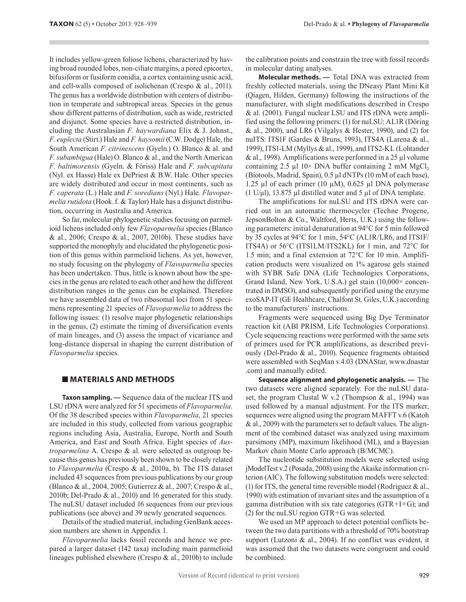It includes yellows are the internal to the solehold of the solehold of the solehold of the solehold of the solehold of the solehold of the solehold of the solehold of the solehold of the solehold of the solehold of the s ing broad rounded lobes, non-ciliate margins, a pored epicortex, bifusiform or fusiform conidia, a cortex containing usnic acid, and cell-walls composed of isolichenan (Crespo & al., 2011). The genus has a worldwide distribution with centers of distribution in temperate and subtropical areas. Species in the genus show different patterns of distribution, such as wide, restricted and disjunct. Some species have a restricted distribution, including the Australasian *F. haywardiana* Elix & J. Johnst., *F. euplecta* (Stirt.) Hale and *F. haysomii* (C.W. Dodge) Hale, the South American *F. citrinescens* (Gyeln.) O. Blanco & al. and *F. subambigua* (Hale) O. Blanco & al., and the North American *F. baltimorensis* (Gyeln. & Fóriss) Hale and *F. subcapitata*  (Nyl. ex Hasse) Hale ex DePriest & B.W. Hale. Other species are widely distributed and occur in most continents, such as *F. caperata* (L.) Hale and *F. soredians* (Nyl.) Hale*. Flavoparmelia rutidota* (Hook.f. & Taylor) Hale has a disjunct distribution, occurring in Australia and America.

So far, molecular phylogenetic studies focusing on parmelioid lichens included only few *Flavoparmelia* species (Blanco & al., 2006; Crespo & al., 2007, 2010b). These studies have supported the monophyly and elucidated the phylogenetic position of this genus within parmelioid lichens. As yet, however, no study focusing on the phylogeny of *Flavoparmelia* species has been undertaken. Thus, little is known about how the species in the genus are related to each other and how the different distribution ranges in the genus can be explained. Therefore we have assembled data of two ribosomal loci from 51 specimens representing 21 species of *Flavoparmelia* to address the following issues: (1) resolve major phylogenetic relationships in the genus, (2) estimate the timing of diversification events of main lineages, and (3) assess the impact of vicariance and long-distance dispersal in shaping the current distribution of *Flavoparmelia* species.

### **MATERIALS AND METHODS**

**Taxon sampling. —** Sequence data of the nuclear ITS and LSU rDNA were analyzed for 51 specimens of *Flavoparmelia*. Of the 38 described species within *Flavoparmelia*, 21 species are included in this study, collected from various geographic regions including Asia, Australia, Europe, North and South America, and East and South Africa. Eight species of *Austroparmelina* A. Crespo & al. were selected as outgroup because this genus has previously been shown to be closely related to *Flavoparmelia* (Crespo & al., 2010a, b). The ITS dataset included 43 sequences from previous publications by our group (Blanco & al., 2004, 2005; Gutierrez & al., 2007; Crespo & al., 2010b; Del-Prado & al., 2010) and 16 generated for this study. The nuLSU dataset included 16 sequences from our previous publications (see above) and 39 newly generated sequences.

Details of the studied material, including GenBank accession numbers are shown in Appendix 1.

*Flavoparmelia* lacks fossil records and hence we prepared a larger dataset (142 taxa) including main parmelioid lineages published elsewhere (Crespo & al., 2010b) to include the calibration points and constrain the tree with fossil records in molecular dating analyses.

**Molecular methods. —** Total DNA was extracted from freshly collected materials, using the DNeasy Plant Mini Kit (Qiagen, Hilden, Germany) following the instructions of the manufacturer, with slight modifications described in Crespo & al. (2001). Fungal nuclear LSU and ITS rDNA were amplified using the following primers: (1) for nuLSU: AL1R (Döring & al., 2000), and LR6 (Vilgalys & Hester, 1990), and (2) for nuITS: ITS1F (Gardes & Bruns, 1993), ITS4A (Larena & al., 1999), ITS1-LM (Myllys & al., 1999), and ITS2-KL (Lohtander  $\&$  al., 1998). Amplifications were performed in a 25 µl volume containing 2.5 µl  $10\times$  DNA buffer containing 2 mM MgCl<sub>2</sub> (Biotools, Madrid, Spain), 0.5 µl dNTPs (10 mM of each base), 1.25 µl of each primer (10 µM), 0.625 µl DNA polymerase (1 U/ $\mu$ l), 13.875  $\mu$ l distilled water and 5  $\mu$ l of DNA template.

The amplifications for nuLSU and ITS rDNA were carried out in an automatic thermocycler (Techne Progene, JepsonBolton & Co., Waltford, Herts, U.K.) using the following parameters: initial denaturation at 94°C for 5 min followed by 35 cycles at 94°C for 1 min, 54°C (AL1R/LR6, and ITS1F/ ITS4A) or 56°C (ITS1LM/ITS2KL) for 1 min, and 72°C for 1.5 min; and a final extension at 72°C for 10 min. Amplification products were visualized on 1% agarose gels stained with SYBR Safe DNA (Life Technologies Corporations, Grand Island, New York, U.S.A.) gel stain (10,000× concentrated in DMSO), and subsequently purified using the enzyme exoSAP-IT (GE Healthcare, Chalfont St. Giles, U.K.) according to the manufacturers' instructions.

Fragments were sequenced using Big Dye Terminator reaction kit (ABI PRISM, Life Technologies Corporations). Cycle sequencing reactions were performed with the same sets of primers used for PCR amplifications, as described previously (Del-Prado & al., 2010). Sequence fragments obtained were assembled with SeqMan v.4.03 (DNAStar, www.dnastar .com) and manually edited.

**Sequence alignment and phylogenetic analysis. —** The two datasets were aligned separately. For the nuLSU dataset, the program Clustal W v.2 (Thompson & al., 1994) was used followed by a manual adjustment. For the ITS marker, sequences were aligned using the program MAFFT v.6 (Katoh & al., 2009) with the parameters set to default values. The alignment of the combined dataset was analyzed using maximum parsimony (MP), maximum likelihood (ML), and a Bayesian Markov chain Monte Carlo approach (B/MCMC).

The nucleotide substitution models were selected using jModelTest v.2 (Posada, 2008) using the Akaike information criterion (AIC). The following substitution models were selected: (1) for ITS, the general time reversible model (Rodriguez  $\&$  al., 1990) with estimation of invariant sites and the assumption of a gamma distribution with six rate categories ( $GTR+I+G$ ); and (2) for the nuLSU region  $GTR+G$  was selected.

We used an MP approach to detect potential conflicts between the two data partitions with a threshold of 70% bootstrap support (Lutzoni & al., 2004). If no conflict was evident, it was assumed that the two datasets were congruent and could be combined.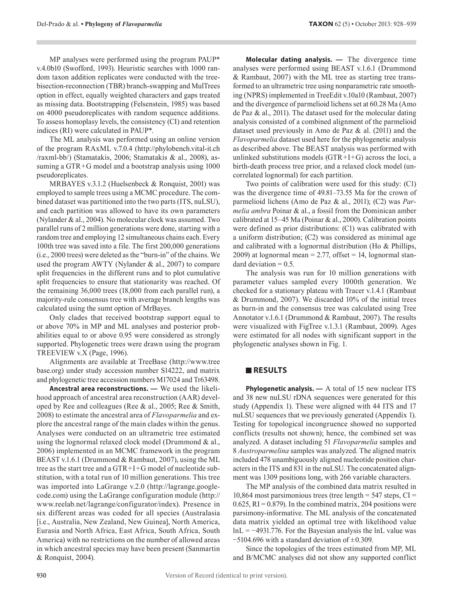MP analyses were performed using the program PAUP\* v.4.0b10 (Swofford, 1993). Heuristic searches with 1000 random taxon addition replicates were conducted with the treebisection-reconnection (TBR) branch-swapping and MulTrees option in effect, equally weighted characters and gaps treated as missing data. Bootstrapping (Felsenstein, 1985) was based on 4000 pseudoreplicates with random sequence additions. To assess homoplasy levels, the consistency (CI) and retention indices (RI) were calculated in PAUP\*.

The ML analysis was performed using an online version of the program RAxML v.7.0.4 (http://phylobench.vital-it.ch /raxml-bb/) (Stamatakis, 2006; Stamatakis & al., 2008), assuming a GTR+G model and a bootstrap analysis using 1000 pseudoreplicates.

MRBAYES v.3.1.2 (Huelsenbeck & Ronquist, 2001) was employed to sample trees using a MCMC procedure. The combined dataset was partitioned into the two parts (ITS, nuLSU), and each partition was allowed to have its own parameters (Nylander & al., 2004). No molecular clock was assumed. Two parallel runs of 2 million generations were done, starting with a random tree and employing 12 simultaneous chains each. Every 100th tree was saved into a file. The first 200,000 generations (i.e., 2000 trees) were deleted as the "burn-in" of the chains. We used the program AWTY (Nylander & al., 2007) to compare split frequencies in the different runs and to plot cumulative split frequencies to ensure that stationarity was reached. Of the remaining 36,000 trees (18,000 from each parallel run), a majority-rule consensus tree with average branch lengths was calculated using the sumt option of MrBayes.

Only clades that received bootstrap support equal to or above 70% in MP and ML analyses and posterior probabilities equal to or above 0.95 were considered as strongly supported. Phylogenetic trees were drawn using the program TREEVIEW v.X (Page, 1996).

Alignments are available at TreeBase (http://www.tree base.org) under study accession number S14222, and matrix and phylogenetic tree accession numbers M17024 and Tr63498.

**Ancestral area reconstructions. —** We used the likelihood approach of ancestral area reconstruction (AAR) developed by Ree and colleagues (Ree & al., 2005; Ree & Smith, 2008) to estimate the ancestral area of *Flavoparmelia* and explore the ancestral range of the main clades within the genus. Analyses were conducted on an ultrametric tree estimated using the lognormal relaxed clock model (Drummond & al., 2006) implemented in an MCMC framework in the program BEAST v.1.6.1 (Drummond & Rambaut, 2007), using the ML tree as the start tree and a  $GTR+I+G$  model of nucleotide substitution, with a total run of 10 million generations. This tree was imported into LaGrange v.2.0 (http://lagrange.googlecode.com) using the LaGrange configuration module (http:// www.reelab.net/lagrange/configurator/index). Presence in six different areas was coded for all species (Australasia [i.e., Australia, New Zealand, New Guinea], North America, Eurasia and North Africa, East Africa, South Africa, South America) with no restrictions on the number of allowed areas in which ancestral species may have been present (Sanmartin & Ronquist, 2004).

**Molecular dating analysis. —** The divergence time analyses were performed using BEAST v.1.6.1 (Drummond & Rambaut, 2007) with the ML tree as starting tree transformed to an ultrametric tree using nonparametric rate smoothing (NPRS) implemented in TreeEdit v.10a10 (Rambaut, 2007) and the divergence of parmelioid lichens set at 60.28 Ma (Amo de Paz & al., 2011). The dataset used for the molecular dating analysis consisted of a combined alignment of the parmelioid dataset used previously in Amo de Paz & al. (2011) and the *Flavoparmelia* dataset used here for the phylogenetic analysis as described above. The BEAST analysis was performed with unlinked substitutions models  $(GTR+I+G)$  across the loci, a birth-death process tree prior, and a relaxed clock model (uncorrelated lognormal) for each partition.

Two points of calibration were used for this study: (C1) was the divergence time of 49.81–73.55 Ma for the crown of parmelioid lichens (Amo de Paz & al., 2011); (C2) was *Parmelia ambra* Poinar & al., a fossil from the Dominican amber calibrated at 15–45 Ma (Poinar & al., 2000). Calibration points were defined as prior distributions: (C1) was calibrated with a uniform distribution; (C2) was considered as minimal age and calibrated with a lognormal distribution (Ho & Phillips, 2009) at lognormal mean  $= 2.77$ , offset  $= 14$ , lognormal standard deviation  $= 0.5$ .

The analysis was run for 10 million generations with parameter values sampled every 1000th generation. We checked for a stationary plateau with Tracer v.1.4.1 (Rambaut & Drummond, 2007). We discarded 10% of the initial trees as burn-in and the consensus tree was calculated using Tree Annotator v.1.6.1 (Drummond & Rambaut, 2007). The results were visualized with FigTree v.1.3.1 (Rambaut, 2009). Ages were estimated for all nodes with significant support in the phylogenetic analyses shown in Fig. 1.

# **RESULTS**

**Phylogenetic analysis.** — A total of 15 new nuclear ITS and 38 new nuLSU rDNA sequences were generated for this study (Appendix 1). These were aligned with 44 ITS and 17 nuLSU sequences that we previously generated (Appendix 1). Testing for topological incongruence showed no supported conflicts (results not shown); hence, the combined set was analyzed. A dataset including 51 *Flavoparmelia* samples and 8 *Austroparmelina* samples was analyzed. The aligned matrix included 478 unambiguously aligned nucleotide position characters in the ITS and 831 in the nuLSU. The concatenated alignment was 1309 positions long, with 266 variable characters.

The MP analysis of the combined data matrix resulted in 10,864 most parsimonious trees (tree length  $=$  547 steps, CI  $=$  $0.625$ , RI = 0.879). In the combined matrix, 204 positions were parsimony-informative. The ML analysis of the concatenated data matrix yielded an optimal tree with likelihood value  $ln L = -4931.776$ . For the Bayesian analysis the lnL value was  $-5104.696$  with a standard deviation of  $\pm 0.309$ .

Since the topologies of the trees estimated from MP, ML and B/MCMC analyses did not show any supported conflict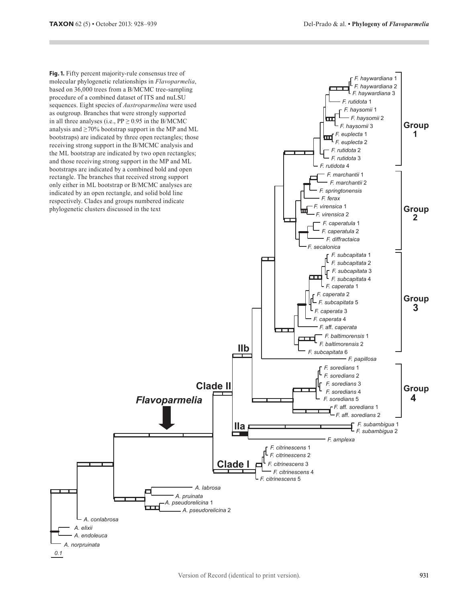*F. haywardiana* 1

**Fig. 1.** Fifty percent majority-rule consensus tree of molecular phylogenetic relationships in *Flavoparmelia*, based on 36,000 trees from a B/MCMC tree-sampling procedure of a combined dataset of ITS and nuLSU sequences. Eight species of *Austroparmelina* were used as outgroup. Branches that were strongly supported in all three analyses (i.e.,  $PP \ge 0.95$  in the B/MCMC analysis and  $\geq$ 70% bootstrap support in the MP and ML bootstraps) are indicated by three open rectangles; those receiving strong support in the B/MCMC analysis and the ML bootstrap are indicated by two open rectangles; and those receiving strong support in the MP and ML bootstraps are indicated by a combined bold and open rectangle. The branches that received strong support only either in ML bootstrap or B/MCMC analyses are indicated by an open rectangle, and solid bold line respectively. Clades and groups numbered indicate phylogenetic clusters discussed in the text



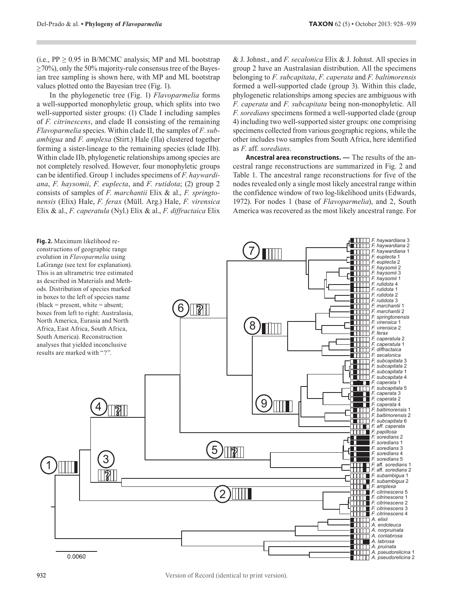(i.e.,  $PP \ge 0.95$  in B/MCMC analysis; MP and ML bootstrap  $\geq$  70%), only the 50% majority-rule consensus tree of the Bayesian tree sampling is shown here, with MP and ML bootstrap values plotted onto the Bayesian tree (Fig. 1).

In the phylogenetic tree (Fig. 1) *Flavoparmelia* forms a well-supported monophyletic group, which splits into two well-supported sister groups: (1) Clade I including samples of *F. citrinescens*, and clade II consisting of the remaining *Flavoparmelia* species. Within clade II, the samples of *F. subambigua* and *F. amplexa* (Stirt.) Hale (IIa) clustered together forming a sister-lineage to the remaining species (clade IIb). Within clade IIb, phylogenetic relationships among species are not completely resolved. However, four monophyletic groups can be identified. Group 1 includes specimens of *F. haywardiana*, *F. haysomii*, *F. euplecta*, and *F. rutidota*; (2) group 2 consists of samples of *F. marchantii* Elix & al., *F. springtonensis* (Elix) Hale, *F. ferax* (Müll. Arg.) Hale, *F. virensica*  Elix & al., *F. caperatula* (Nyl.) Elix & al., *F. diffractaica* Elix & J. Johnst., and *F. secalonica* Elix & J. Johnst. All species in group 2 have an Australasian distribution. All the specimens belonging to *F. subcapitata*, *F. caperata* and *F. baltimorensis* formed a well-supported clade (group 3). Within this clade, phylogenetic relationships among species are ambiguous with *F. caperata* and *F. subcapitata* being non-monophyletic. All *F. soredians* specimens formed a well-supported clade (group 4) including two well-supported sister groups: one comprising specimens collected from various geographic regions, while the other includes two samples from South Africa, here identified as *F*. aff. *soredians*.

**Ancestral area reconstructions. —** The results of the ancestral range reconstructions are summarized in Fig. 2 and Table 1. The ancestral range reconstructions for five of the nodes revealed only a single most likely ancestral range within the confidence window of two log-likelihood units (Edwards, 1972). For nodes 1 (base of *Flavoparmelia*), and 2, South America was recovered as the most likely ancestral range. For

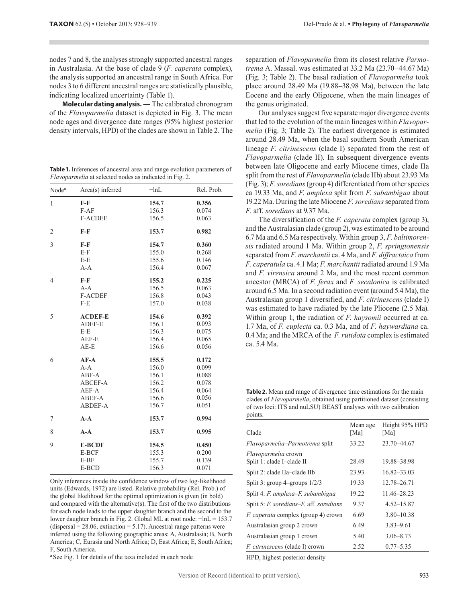**Table 1.** Inferences of ancestral area and range evolution parameters of *Flavoparmelia* at selected nodes as indicated in Fig. 2.

|                   | nodes 7 and 8, the analyses strongly supported ancestral ranges<br>in Australasia. At the base of clade 9 (F. caperata complex),<br>the analysis supported an ancestral range in South Africa. For<br>nodes 3 to 6 different ancestral ranges are statistically plausible,<br>indicating localized uncertainty (Table 1).<br>Molecular dating analysis. - The calibrated chronogram<br>of the <i>Flavoparmelia</i> dataset is depicted in Fig. 3. The mean<br>node ages and divergence date ranges (95% highest posterior<br>density intervals, HPD) of the clades are shown in Table 2. The<br>Table 1. Inferences of ancestral area and range evolution parameters of<br><i>Flavoparmelia</i> at selected nodes as indicated in Fig. 2.                                                   |          |            | separation of <i>Flav</i><br>trema A. Massal.<br>(Fig. 3; Table 2).<br>place around 28.4<br>Eocene and the ea<br>the genus originate<br>Our analyses s<br>that led to the evol<br>melia (Fig. 3; Tab<br>around 28.49 Ma,<br>lineage F. citrine.<br>Flavoparmelia (cl<br>between late Olig<br>split from the rest |
|-------------------|---------------------------------------------------------------------------------------------------------------------------------------------------------------------------------------------------------------------------------------------------------------------------------------------------------------------------------------------------------------------------------------------------------------------------------------------------------------------------------------------------------------------------------------------------------------------------------------------------------------------------------------------------------------------------------------------------------------------------------------------------------------------------------------------|----------|------------|------------------------------------------------------------------------------------------------------------------------------------------------------------------------------------------------------------------------------------------------------------------------------------------------------------------|
| Node <sup>a</sup> | Area(s) inferred                                                                                                                                                                                                                                                                                                                                                                                                                                                                                                                                                                                                                                                                                                                                                                            | $-\ln L$ | Rel. Prob. | $(Fig. 3)$ ; <i>F. soredian</i><br>ca 19.33 Ma, and <i>i</i>                                                                                                                                                                                                                                                     |
| $\mathbf{1}$      | $F-F$                                                                                                                                                                                                                                                                                                                                                                                                                                                                                                                                                                                                                                                                                                                                                                                       | 154.7    | 0.356      | 19.22 Ma. During t                                                                                                                                                                                                                                                                                               |
|                   | $F-AF$                                                                                                                                                                                                                                                                                                                                                                                                                                                                                                                                                                                                                                                                                                                                                                                      | 156.3    | 0.074      | F. aff. soredians a                                                                                                                                                                                                                                                                                              |
|                   | F-ACDEF                                                                                                                                                                                                                                                                                                                                                                                                                                                                                                                                                                                                                                                                                                                                                                                     | 156.5    | 0.063      | The diversific                                                                                                                                                                                                                                                                                                   |
| 2                 | F-F                                                                                                                                                                                                                                                                                                                                                                                                                                                                                                                                                                                                                                                                                                                                                                                         | 153.7    | 0.982      | and the Australasia<br>6.7 Ma and 6.5 Ma                                                                                                                                                                                                                                                                         |
| 3                 | F-F                                                                                                                                                                                                                                                                                                                                                                                                                                                                                                                                                                                                                                                                                                                                                                                         | 154.7    | 0.360      | sis radiated aroun                                                                                                                                                                                                                                                                                               |
|                   | $E-F$                                                                                                                                                                                                                                                                                                                                                                                                                                                                                                                                                                                                                                                                                                                                                                                       | 155.0    | 0.268      |                                                                                                                                                                                                                                                                                                                  |
|                   | E-E                                                                                                                                                                                                                                                                                                                                                                                                                                                                                                                                                                                                                                                                                                                                                                                         | 155.6    | 0.146      | separated from $F$ . $n$                                                                                                                                                                                                                                                                                         |
|                   | $A-A$                                                                                                                                                                                                                                                                                                                                                                                                                                                                                                                                                                                                                                                                                                                                                                                       | 156.4    | 0.067      | F. caperatula ca. 4                                                                                                                                                                                                                                                                                              |
| 4                 | $F-F$                                                                                                                                                                                                                                                                                                                                                                                                                                                                                                                                                                                                                                                                                                                                                                                       | 155.2    | 0.225      | and <i>F. virensica</i> a                                                                                                                                                                                                                                                                                        |
|                   | $A - A$                                                                                                                                                                                                                                                                                                                                                                                                                                                                                                                                                                                                                                                                                                                                                                                     | 156.5    | 0.063      | ancestor (MRCA)                                                                                                                                                                                                                                                                                                  |
|                   | F-ACDEF                                                                                                                                                                                                                                                                                                                                                                                                                                                                                                                                                                                                                                                                                                                                                                                     | 156.8    | 0.043      | around 6.5 Ma. In a                                                                                                                                                                                                                                                                                              |
|                   | F-E                                                                                                                                                                                                                                                                                                                                                                                                                                                                                                                                                                                                                                                                                                                                                                                         | 157.0    | 0.038      | Australasian group                                                                                                                                                                                                                                                                                               |
|                   |                                                                                                                                                                                                                                                                                                                                                                                                                                                                                                                                                                                                                                                                                                                                                                                             |          |            | was estimated to <b>h</b>                                                                                                                                                                                                                                                                                        |
| 5                 | <b>ACDEF-E</b>                                                                                                                                                                                                                                                                                                                                                                                                                                                                                                                                                                                                                                                                                                                                                                              | 154.6    | 0.392      | Within group 1, tl                                                                                                                                                                                                                                                                                               |
|                   | ADEF-E                                                                                                                                                                                                                                                                                                                                                                                                                                                                                                                                                                                                                                                                                                                                                                                      | 156.1    | 0.093      | 1.7 Ma, of $F$ . euple                                                                                                                                                                                                                                                                                           |
|                   | E-E                                                                                                                                                                                                                                                                                                                                                                                                                                                                                                                                                                                                                                                                                                                                                                                         | 156.3    | 0.075      | 0.4 Ma; and the MI                                                                                                                                                                                                                                                                                               |
|                   | AEF-E                                                                                                                                                                                                                                                                                                                                                                                                                                                                                                                                                                                                                                                                                                                                                                                       | 156.4    | 0.065      | ca. 5.4 Ma.                                                                                                                                                                                                                                                                                                      |
|                   | AE-E                                                                                                                                                                                                                                                                                                                                                                                                                                                                                                                                                                                                                                                                                                                                                                                        | 156.6    | 0.056      |                                                                                                                                                                                                                                                                                                                  |
| 6                 | $AF-A$                                                                                                                                                                                                                                                                                                                                                                                                                                                                                                                                                                                                                                                                                                                                                                                      | 155.5    | 0.172      |                                                                                                                                                                                                                                                                                                                  |
|                   | A-A                                                                                                                                                                                                                                                                                                                                                                                                                                                                                                                                                                                                                                                                                                                                                                                         | 156.0    | 0.099      |                                                                                                                                                                                                                                                                                                                  |
|                   | ABF-A                                                                                                                                                                                                                                                                                                                                                                                                                                                                                                                                                                                                                                                                                                                                                                                       | 156.1    | 0.088      |                                                                                                                                                                                                                                                                                                                  |
|                   | ABCEF-A                                                                                                                                                                                                                                                                                                                                                                                                                                                                                                                                                                                                                                                                                                                                                                                     | 156.2    | 0.078      |                                                                                                                                                                                                                                                                                                                  |
|                   | AEF-A                                                                                                                                                                                                                                                                                                                                                                                                                                                                                                                                                                                                                                                                                                                                                                                       | 156.4    | 0.064      | Table 2. Mean and ra                                                                                                                                                                                                                                                                                             |
|                   | ABEF-A                                                                                                                                                                                                                                                                                                                                                                                                                                                                                                                                                                                                                                                                                                                                                                                      | 156.6    | 0.056      | clades of <i>Flavoparm</i>                                                                                                                                                                                                                                                                                       |
|                   | ABDEF-A                                                                                                                                                                                                                                                                                                                                                                                                                                                                                                                                                                                                                                                                                                                                                                                     | 156.7    | 0.051      | of two loci: ITS and                                                                                                                                                                                                                                                                                             |
| 7                 | $A-A$                                                                                                                                                                                                                                                                                                                                                                                                                                                                                                                                                                                                                                                                                                                                                                                       | 153.7    | 0.994      | points.                                                                                                                                                                                                                                                                                                          |
| 8                 | $A-A$                                                                                                                                                                                                                                                                                                                                                                                                                                                                                                                                                                                                                                                                                                                                                                                       | 153.7    | 0.995      | Clade                                                                                                                                                                                                                                                                                                            |
| 9                 | <b>E-BCDF</b>                                                                                                                                                                                                                                                                                                                                                                                                                                                                                                                                                                                                                                                                                                                                                                               | 154.5    | 0.450      | Flavoparmelia-Parn                                                                                                                                                                                                                                                                                               |
|                   | E-BCF                                                                                                                                                                                                                                                                                                                                                                                                                                                                                                                                                                                                                                                                                                                                                                                       | 155.3    | 0.200      | Flavoparmelia crowi                                                                                                                                                                                                                                                                                              |
|                   | E-BF                                                                                                                                                                                                                                                                                                                                                                                                                                                                                                                                                                                                                                                                                                                                                                                        | 155.7    | 0.139      | Split 1: clade I-clade                                                                                                                                                                                                                                                                                           |
|                   | E-BCD                                                                                                                                                                                                                                                                                                                                                                                                                                                                                                                                                                                                                                                                                                                                                                                       | 156.3    | 0.071      | Split 2: clade IIa-cla                                                                                                                                                                                                                                                                                           |
|                   | Only inferences inside the confidence window of two log-likelihood<br>units (Edwards, 1972) are listed. Relative probability (Rel. Prob.) of<br>the global likelihood for the optimal optimization is given (in bold)<br>and compared with the alternative $(s)$ . The first of the two distributions<br>for each node leads to the upper daughter branch and the second to the<br>lower daughter branch in Fig. 2. Global ML at root node: $-hL = 153.7$<br>(dispersal = $28.06$ , extinction = $5.17$ ). Ancestral range patterns were<br>inferred using the following geographic areas: A, Australasia; B, North<br>America; C, Eurasia and North Africa; D, East Africa; E, South Africa;<br>F, South America.<br><sup>a</sup> See Fig. 1 for details of the taxa included in each node |          |            | Split 3: group 4-grou<br>Split 4: F. amplexa-l<br>Split 5: F. soredians-<br>F. caperata complex<br>Australasian group 2<br>Australasian group 1<br><i>F. citrinescens</i> (clade<br>HPD, highest posteri                                                                                                         |
|                   |                                                                                                                                                                                                                                                                                                                                                                                                                                                                                                                                                                                                                                                                                                                                                                                             |          |            | Version of Record (identical to print version).                                                                                                                                                                                                                                                                  |

separation of *Flavoparmelia* from its closest relative *Parmotrema* A. Massal. was estimated at 33.2 Ma (23.70–44.67 Ma) (Fig. 3; Table 2). The basal radiation of *Flavoparmelia* took place around 28.49 Ma (19.88–38.98 Ma), between the late Eocene and the early Oligocene, when the main lineages of the genus originated.

Our analyses suggest five separate major divergence events that led to the evolution of the main lineages within *Flavoparmelia* (Fig. 3; Table 2). The earliest divergence is estimated around 28.49 Ma, when the basal southern South American lineage *F. citrinescens* (clade I) separated from the rest of *Flavoparmelia* (clade II). In subsequent divergence events between late Oligocene and early Miocene times, clade IIa split from the rest of *Flavoparmelia* (clade IIb) about 23.93 Ma (Fig. 3); *F.soredians* (group 4) differentiated from other species ca 19.33 Ma, and *F. amplexa* split from *F. subambigua* about 19.22 Ma. During the late Miocene *F. soredians* separated from *F.* aff. *soredians* at 9.37 Ma.

The diversification of the *F. caperata* complex (group 3), and the Australasian clade (group 2), was estimated to be around 6.7 Ma and 6.5 Ma respectively. Within group 3, *F. baltimorensis* radiated around 1 Ma. Within group 2, *F. springtonensis*  separated from *F. marchantii* ca. 4 Ma, and *F. diffractaica* from *F. caperatula* ca. 4.1 Ma; *F. marchantii* radiated around 1.9 Ma and *F. virensica* around 2 Ma, and the most recent common ancestor (MRCA) of *F. ferax* and *F. secalonica* is calibrated around 6.5 Ma. In a second radiation event (around 5.4 Ma), the Australasian group 1 diversified, and *F. citrinescens* (clade I) was estimated to have radiated by the late Pliocene (2.5 Ma). Within group 1, the radiation of *F. haysomii* occurred at ca. 1.7 Ma, of *F. euplecta* ca. 0.3 Ma, and of *F. haywardiana* ca. 0.4 Ma; and the MRCA of the *F. rutidota* complex is estimated ca. 5.4 Ma.

**Table 2.** Mean and range of divergence time estimations for the main clades of *Flavoparmelia*, obtained using partitioned dataset (consisting of two loci: ITS and nuLSU) BEAST analyses with two calibration points.

| Clade                                                   | Mean age<br>[Ma] | Height 95% HPD<br>[Ma] |
|---------------------------------------------------------|------------------|------------------------|
| <i>Flavoparmelia–Parmotrema</i> split                   | 33.22            | 23.70-44.67            |
| <i>Flavoparmelia</i> crown<br>Split 1: clade I-clade II | 28.49            | 19.88-38.98            |
| Split 2: clade IIa-clade IIb                            | 23.93            | 16.82-33.03            |
| Split 3: group 4-groups $1/2/3$                         | 19.33            | 12.78-26.71            |
| Split 4: F. amplexa–F. subambigua                       | 19.22            | 11.46-28.23            |
| Split 5: F. soredians–F. aff. soredians                 | 9.37             | 4.52–15.87             |
| <i>F. caperata</i> complex (group 4) crown              | 6.69             | $3.80 - 10.38$         |
| Australasian group 2 crown                              | 6.49             | $3.83 - 9.61$          |
| Australasian group 1 crown                              | 5.40             | $3.06 - 8.73$          |
| <i>F. citrinescens</i> (clade I) crown                  | 2.52             | $0.77 - 5.35$          |

HPD, highest posterior density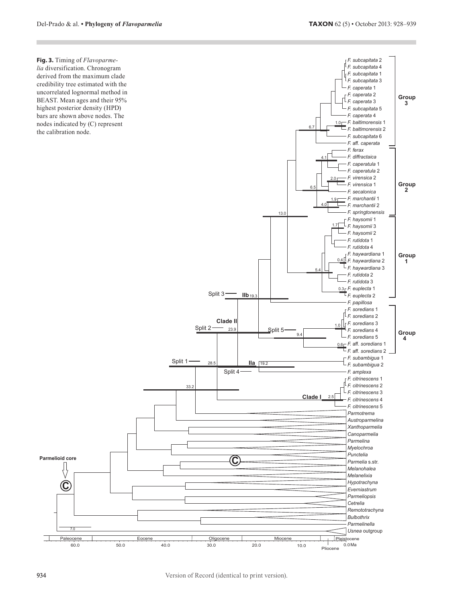**Fig. 3.** Timing of *Flavoparmelia* diversification. Chronogram derived from the maximum clade credibility tree estimated with the uncorrelated lognormal method in BEAST. Mean ages and their 95% highest posterior density (HPD) bars are shown above nodes. The nodes indicated by (C) represent the calibration node.



┱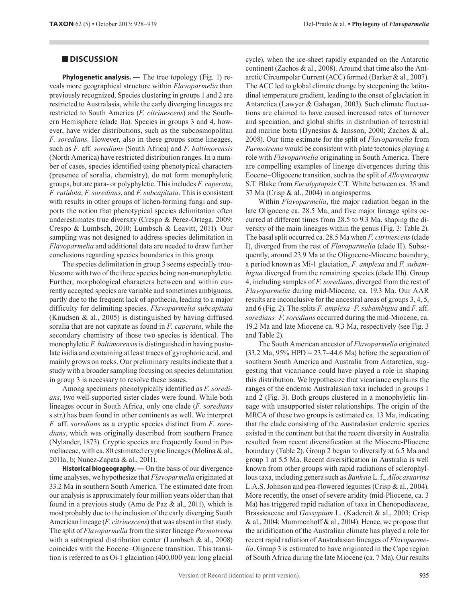**DISCUSSION**<br> **Cyclepertical and the statistical cycle)** ( $\log$  continent (Zuchos<br> **yongerical and the statistical structure within Flavoparmelia has continent (Chromotomy population of the continent of Record (Chromotomy Phylogenetic analysis. —** The tree topology (Fig. 1) reveals more geographical structure within *Flavoparmelia* than previously recognized. Species clustering in groups 1 and 2 are restricted to Australasia, while the early diverging lineages are restricted to South America (*F. citrinescens*) and the Southern Hemisphere (clade IIa). Species in groups 3 and 4, however, have wider distributions, such as the subcosmopolitan *F. soredians.* However, also in these groups some lineages, such as *F.* aff. *soredians* (South Africa) and *F. baltimorensis*  (North America) have restricted distribution ranges. In a number of cases, species identified using phenotypical characters (presence of soralia, chemistry), do not form monophyletic groups, but are para- or polyphyletic. This includes *F. caperata*, *F. rutidota*, *F. soredians*, and *F. subcapitata*. This is consistent with results in other groups of lichen-forming fungi and supports the notion that phenotypical species delimitation often underestimates true diversity (Crespo & Perez-Ortega, 2009; Crespo & Lumbsch, 2010; Lumbsch & Leavitt, 2011). Our sampling was not designed to address species delimitation in *Flavoparmelia* and additional data are needed to draw further conclusions regarding species boundaries in this group.

The species delimitation in group 3 seems especially troublesome with two of the three species being non-monophyletic. Further, morphological characters between and within currently accepted species are variable and sometimes ambiguous, partly due to the frequent lack of apothecia, leading to a major difficulty for delimiting species. *Flavoparmelia subcapitata* (Knudsen & al., 2005) is distinguished by having diffused soralia that are not capitate as found in *F. caperata*, while the secondary chemistry of those two species is identical. The monophyletic *F. baltimorensis* is distinguished in having pustulate isidia and containing at least traces of gyrophoric acid, and mainly grows on rocks. Our preliminary results indicate that a study with a broader sampling focusing on species delimitation in group 3 is necessary to resolve these issues.

Among specimens phenotypically identified as *F. soredians*, two well-supported sister clades were found. While both lineages occur in South Africa, only one clade (*F. soredians*  s.str.) has been found in other continents as well. We interpret *F.* aff. *soredians* as a cryptic species distinct from *F. soredians*, which was originally described from southern France (Nylander, 1873)*.* Cryptic species are frequently found in Parmeliaceae, with ca. 80 estimated cryptic lineages (Molina & al., 2011a, b; Nunez-Zapata & al., 2011).

**Historical biogeography. —** On the basis of our divergence time analyses, we hypothesize that *Flavoparmelia* originated at 33.2 Ma in southern South America. The estimated date from our analysis is approximately four million years older than that found in a previous study (Amo de Paz  $\&$  al., 2011), which is most probably due to the inclusion of the early diverging South American lineage (*F. citrinescens*) that was absent in that study. The split of *Flavoparmelia* from the sister lineage *Parmotrema* with a subtropical distribution center (Lumbsch & al., 2008) coincides with the Eocene–Oligocene transition. This transition is referred to as Oi-1 glaciation (400,000 year long glacial cycle), when the ice-sheet rapidly expanded on the Antarctic continent (Zachos & al., 2008). Around that time also the Antarctic Circumpolar Current (ACC) formed (Barker & al., 2007). The ACC led to global climate change by steepening the latitudinal temperature gradient, leading to the onset of glaciation in Antarctica (Lawyer & Gahagan, 2003). Such climate fluctuations are claimed to have caused increased rates of turnover and speciation, and global shifts in distribution of terrestrial and marine biota (Dynesius & Jansson, 2000; Zachos & al., 2008). Our time estimate for the split of *Flavoparmelia* from *Parmotrema* would be consistent with plate tectonics playing a role with *Flavoparmelia* originating in South America. There are compelling examples of lineage divergences during this Eocene–Oligocene transition, such as the split of *Allosyncarpia* S.T. Blake from *Eucalyptopsis* C.T. White between ca. 35 and 37 Ma (Crisp & al., 2004) in angiosperms.

Within *Flavoparmelia*, the major radiation began in the late Oligocene ca. 28.5 Ma, and five major lineage splits occurred at different times from 28.5 to 9.3 Ma, shaping the diversity of the main lineages within the genus (Fig. 3: Table 2). The basal split occurred ca. 28.5 Ma when *F. citrinescens* (clade I), diverged from the rest of *Flavoparmelia* (clade II). Subsequently, around 23.9 Ma at the Oligocene-Miocene boundary, a period known as Mi-1 glaciation, *F. amplexa* and *F. subambigua* diverged from the remaining species (clade IIb). Group 4, including samples of *F. soredians*, diverged from the rest of *Flavoparmelia* during mid-Miocene, ca. 19.3 Ma. Our AAR results are inconclusive for the ancestral areas of groups 3, 4, 5, and 6 (Fig. 2). The splits *F. amplexa*–*F. subambigua* and *F.* aff. *soredians*–*F. soredians* occurred during the mid-Miocene, ca. 19.2 Ma and late Miocene ca. 9.3 Ma, respectively (see Fig. 3 and Table 2).

The South American ancestor of *Flavoparmelia* originated  $(33.2 \text{ Ma}, 95\% \text{ HPD} = 23.7-44.6 \text{ Ma})$  before the separation of southern South America and Australia from Antarctica, suggesting that vicariance could have played a role in shaping this distribution. We hypothesize that vicariance explains the ranges of the endemic Australasian taxa included in groups 1 and 2 (Fig. 3). Both groups clustered in a monophyletic lineage with unsupported sister relationships. The origin of the MRCA of these two groups is estimated ca. 13 Ma, indicating that the clade consisting of the Australasian endemic species existed in the continent but that the recent diversity in Australia resulted from recent diversification at the Miocene-Pliocene boundary (Table 2). Group 2 began to diversify at 6.5 Ma and group 1 at 5.5 Ma. Recent diversification in Australia is well known from other groups with rapid radiations of sclerophyllous taxa, including genera such as *Banksia* L.f., *Allocasuarina* L.A.S. Johnson and pea-flowered legumes (Crisp & al., 2004). More recently, the onset of severe aridity (mid-Pliocene, ca. 3 Ma) has triggered rapid radiation of taxa in Chenopodiaceae, Brassicaceae and *Gossypium* L. (Kadereit & al., 2003; Crisp & al., 2004; Mummenhoff & al., 2004). Hence, we propose that the aridification of the Australian climate has played a role for recent rapid radiation of Australasian lineages of *Flavoparmelia*. Group 3 is estimated to have originated in the Cape region of South Africa during the late Miocene (ca. 7 Ma). Our results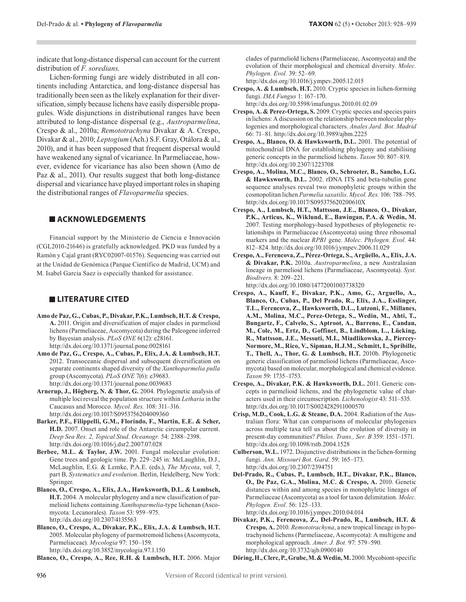indicate that long-distance dispersal can account for the current distribution of *F. soredians*.

Lichen-forming fungi are widely distributed in all continents including Antarctica, and long-distance dispersal has traditionally been seen as the likely explanation for their diversification, simply because lichens have easily dispersible propagules. Wide disjunctions in distributional ranges have been attributed to long-distance dispersal (e.g., *Austroparmelina*, Crespo & al., 2010a; *Remototrachyna* Divakar & A. Crespo, Divakar & al., 2010; *Leptogium* (Ach.) S.F. Gray, Otálora & al., 2010), and it has been supposed that frequent dispersal would have weakened any signal of vicariance. In Parmeliaceae, however, evidence for vicariance has also been shown (Amo de Paz & al., 2011). Our results suggest that both long-distance dispersal and vicariance have played important roles in shaping the distributional ranges of *Flavoparmelia* species.

## **ACKNOWLEDGEMENTS**

Financial support by the Ministerio de Ciencia e Innovación (CGL2010-21646) is gratefully acknowledged. PKD was funded by a Ramón y Cajal grant (RYC02007-01576). Sequencing was carried out at the Unidad de Genómica (Parque Científico de Madrid, UCM) and M. Isabel Garcia Saez is especially thanked for assistance.

### **LITERATURE CITED**

- **Amo de Paz, G., Cubas, P., Divakar, P.K., Lumbsch, H.T. & Crespo, A.** 2011. Origin and diversification of major clades in parmelioid lichens (Parmeliaceae, Ascomycota) during the Paleogene inferred by Bayesian analysis. *PLoS ONE* 6(12): e28161. http://dx.doi.org/10.1371/journal.pone.0028161
- **Amo de Paz, G., Crespo, A., Cubas, P., Elix, J.A. & Lumbsch, H.T.**  2012. Transoceanic dispersal and subsequent diversification on separate continents shaped diversity of the *Xanthoparmelia pulla* group (Ascomycota). *PLoS ONE* 7(6): e39683. http://dx.doi.org/10.1371/journal.pone.0039683
- **Arnerup, J., Högberg, N. & Thor, G.** 2004. Phylogenetic analysis of multiple loci reveal the population structure within *Letharia* in the Caucasus and Morocco. *Mycol. Res.* 108: 311–316. http://dx.doi.org/10.1017/S0953756204009360
- **Barker, P.F., Filippelli, G.M., Florindo, F., Martin, E.E. & Scher, H.D.** 2007. Onset and role of the Antarctic circumpolar current. *Deep Sea Res. 2, Topical Stud. Oceanogr.* 54: 2388–2398. http://dx.doi.org/10.1016/j.dsr2.2007.07.028
- **Berbee, M.L. & Taylor, J.W.** 2001. Fungal molecular evolution: Gene trees and geologic time. Pp. 229–245 in: McLaughlin, D.J., McLaughlin, E.G. & Lemke, P.A.E. (eds.), *The Mycota*, vol. 7, part B, *Systematics and evolution*. Berlin, Heidelberg, New York: Springer.
- **Blanco, O., Crespo, A., Elix, J.A., Hawksworth, D.L. & Lumbsch, H.T.** 2004. A molecular phylogeny and a new classification of parmelioid lichens containing *Xanthoparmelia*-type lichenan (Ascomycota: Lecanorales). *Taxon* 53: 959–975. http://dx.doi.org/10.2307/4135563
- **Blanco, O., Crespo, A., Divakar, P.K., Elix, J.A. & Lumbsch, H.T.**  2005. Molecular phylogeny of parmotremoid lichens (Ascomycota, Parmeliaceae). *Mycologia* 97: 150–159. http://dx.doi.org/10.3852/mycologia.97.1.150

**Blanco, O., Crespo, A., Ree, R.H. & Lumbsch, H.T.** 2006. Major

clades of parmeliold lichens (Parmeliaceae, Ascomycota) and the evolution of their morphological and chemical diversity. *Molec. Phylogen. Evol.* 39: 52–69.

http://dx.doi.org/10.1016/j.ympev.2005.12.015

- **Crespo, A. & Lumbsch, H.T.** 2010. Cryptic species in lichen-forming fungi. *IMA Fungus* 1: 167–170. http://dx.doi.org/10.5598/imafungus.2010.01.02.09
- **Crespo, A. & Perez-Ortega, S.** 2009. Cryptic species and species pairs in lichens: A discussion on the relationship between molecular phylogenies and morphological characters. *Anales Jard. Bot. Madrid* 66: 71–81. http://dx.doi.org/10.3989/ajbm.2225
- **Crespo, A., Blanco, O. & Hawksworth, D.L.** 2001. The potential of mitochondrial DNA for establishing phylogeny and stabilising generic concepts in the parmelioid lichens. *Taxon* 50: 807–819. http://dx.doi.org/10.2307/1223708
- **Crespo, A., Molina, M.C., Blanco, O., Schroeter, B., Sancho, L.G. & Hawksworth, D.L.** 2002. rDNA ITS and beta-tubulin gene sequence analyses reveal two monophyletic groups within the cosmopolitan lichen *Parmelia saxatilis*. *Mycol. Res.* 106: 788–795. http://dx.doi.org/10.1017/S095375620200610X
- **Crespo, A., Lumbsch, H.T., Mattsson, J.E., Blanco, O., Divakar, P.K., Articus, K., Wiklund, E., Bawingan, P.A. & Wedin, M.**  2007. Testing morphology-based hypotheses of phylogenetic relationships in Parmeliaceae (Ascomycota) using three ribosomal markers and the nuclear *RPB1* gene. *Molec. Phylogen. Evol.* 44: 812–824. http://dx.doi.org/10.1016/j.ympev.2006.11.029
- **Crespo, A., Ferencova, Z., Pérez-Ortega, S., Argüello, A., Elix, J.A. & Divakar, P.K.** 2010a. *Austroparmelina*, a new Australasian lineage in parmelioid lichens (Parmeliaceae, Ascomycota). *Syst. Biodivers.* 8: 209–221.

http://dx.doi.org/10.1080/14772001003738320

- **Crespo, A., Kauff, F., Divakar, P.K., Amo, G., Arguello, A., Blanco, O., Cubas, P., Del Prado, R., Elix, J.A., Esslinger, T.L., Ferencova, Z., Hawksworth, D.L., Lutzoni, F., Millanes, A.M., Molina, M.C., Perez-Ortega, S., Wedin, M., Ahti, T., Bungartz, F., Calvelo, S., Aptroot, A., Barreno, E., Candan, M., Cole, M., Ertz, D., Goffinet, B., Lindblom, L., Lücking, R., Mattsson, J.E., Messuti, M.I., Miadlikowska, J., Piercey-Normore, M., Rico, V., Sipman, H.J.M., Schmitt, I., Spribille, T., Thell, A., Thor, G. & Lumbsch, H.T.** 2010b. Phylogenetic generic classification of parmelioid lichens (Parmeliaceae, Ascomycota) based on molecular, morphological and chemical evidence. *Taxon* 59: 1735–1753.
- **Crespo, A., Divakar, P.K. & Hawksworth, D.L.** 2011. Generic concepts in parmelioid lichens, and the phylogenetic value of characters used in their circumscription. *Lichenologist* 43: 511–535. http://dx.doi.org/10.1017/S0024282911000570
- **Crisp, M.D., Cook, L.G. & Steane, D.A.** 2004. Radiation of the Australian flora: What can comparisons of molecular phylogenies across multiple taxa tell us about the evolution of diversity in present-day communities? *Philos. Trans., Ser. B* 359: 1551–1571. http://dx.doi.org/10.1098/rstb.2004.1528
- **Culberson, W.L.** 1972. Disjunctive distributions in the lichen-forming fungi. *Ann. Missouri Bot. Gard.* 59: 165–173. http://dx.doi.org/10.2307/2394751
- **Del-Prado, R., Cubas, P., Lumbsch, H.T., Divakar, P.K., Blanco, O., De Paz, G.A., Molina, M.C. & Crespo, A.** 2010. Genetic distances within and among species in monophyletic lineages of Parmeliaceae (Ascomycota) as a tool for taxon delimitation. *Molec. Phylogen. Evol.* 56: 125–133. http://dx.doi.org/10.1016/j.ympev.2010.04.014
- **Divakar, P.K., Ferencova, Z., Del-Prado, R., Lumbsch, H.T. & Crespo, A.** 2010. *Remototrachyna*, a new tropical lineage in hypotrachynoid lichens (Parmeliaceae, Ascomycota): A multigene and morphological approach. *Amer. J. Bot.* 97: 579–590. http://dx.doi.org/10.3732/ajb.0900140

Döring, H., Clerc, P., Grube, M. & Wedin, M. 2000. Mycobiont-specific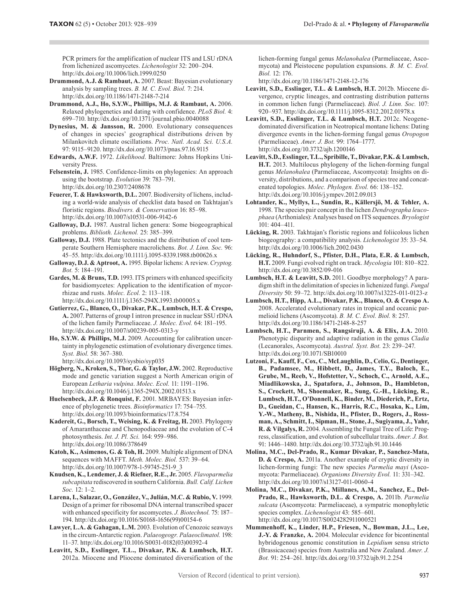- **Drummond, A.J. & Rambaut, A.** 2007. Beast: Bayesian evolutionary analysis by sampling trees. *B. M. C. Evol. Biol.* 7: 214. http://dx.doi.org/10.1186/1471-2148-7-214
- **Drummond, A.J., Ho, S.Y.W., Phillips, M.J. & Rambaut, A.** 2006. Relaxed phylogenetics and dating with confidence. *PLoS Biol.* 4: 699–710. http://dx.doi.org/10.1371/journal.pbio.0040088
- **Dynesius, M. & Jansson, R.** 2000. Evolutionary consequences of changes in species' geographical distributions driven by Milankovitch climate oscillations. *Proc. Natl. Acad. Sci. U.S.A.* 97: 9115–9120. http://dx.doi.org/10.1073/pnas.97.16.9115
- **Edwards, A.W.F.** 1972. *Likelihood*. Baltimore: Johns Hopkins University Press.
- **Felsenstein, J.** 1985. Confidence-limits on phylogenies: An approach using the bootstrap. *Evolution* 39: 783–791. http://dx.doi.org/10.2307/2408678
- **Feuerer, T. & Hawksworth, D.L.** 2007. Biodiversity of lichens, including a world-wide analysis of checklist data based on Takhtajan's floristic regions. *Biodivers. & Conservation* 16: 85–98. http://dx.doi.org/10.1007/s10531-006-9142-6
- **Galloway, D.J.** 1987. Austral lichen genera: Some biogeographical problems. *Biblioth. Lichenol.* 25: 385–399.
- **Galloway, D.J.** 1988. Plate tectonics and the distribution of cool temperate Southern Hemisphere macrolichens. *Bot. J. Linn. Soc.* 96: 45–55. http://dx.doi.org/10.1111/j.1095-8339.1988.tb00626.x
- **Galloway, D.J. & Aptroot, A.** 1995. Bipolar lichens: A review. *Cryptog. Bot.* 5: 184–191.
- **Gardes, M. & Bruns, T.D.** 1993. ITS primers with enhanced specificity for basidiomycetes: Application to the identification of mycorrhizae and rusts. *Molec. Ecol.* 2: 113–118. http://dx.doi.org/10.1111/j.1365-294X.1993.tb00005.x
- FCR for the method of Record Contents (i.e. the method in the section of the section of the amplitude of the amplitude of the amplitude of the amplitude of the amplitude of the amplitude of the amplification of the amplit **Gutierrez, G., Blanco, O., Divakar, P.K., Lumbsch, H.T. & Crespo, A.** 2007. Patterns of group I intron presence in nuclear SSU rDNA of the lichen family Parmeliaceae. *J. Molec. Evol.* 64: 181–195. http://dx.doi.org/10.1007/s00239-005-0313-y
- **Ho, S.Y.W. & Phillips, M.J.** 2009. Accounting for calibration uncertainty in phylogenetic estimation of evolutionary divergence times. *Syst. Biol.* 58: 367–380. http://dx.doi.org/10.1093/sysbio/syp035
- **Högberg, N., Kroken, S., Thor, G. & Taylor, J.W.** 2002. Reproductive mode and genetic variation suggest a North American origin of European *Letharia vulpina*. *Molec. Ecol.* 11: 1191–1196. http://dx.doi.org/10.1046/j.1365-294X.2002.01513.x
- **Huelsenbeck, J.P. & Ronquist, F.** 2001. MRBAYES: Bayesian inference of phylogenetic trees. *Bioinformatics* 17: 754–755. http://dx.doi.org/10.1093/bioinformatics/17.8.754
- Kadereit, G., Borsch, T., Weising, K. & Freitag, H. 2003. Phylogeny of Amaranthaceae and Chenopodiaceae and the evolution of C-4 photosynthesis. *Int. J. Pl. Sci.* 164: 959–986. http://dx.doi.org/10.1086/378649
- **Katoh, K., Asimenos, G. & Toh, H.** 2009. Multiple alignment of DNA sequences with MAFFT. *Meth. Molec. Biol.* 537: 39–64. http://dx.doi.org/10.1007/978-1-59745-251-9\_3
- **Knudsen, K., Lendemer, J. & Riefner, R.E., Jr.** 2005. *Flavoparmelia subcapitata* rediscovered in southern California. *Bull. Calif. Lichen Soc.* 12: 1–2.
- **Larena, I., Salazar, O., González, V., Julián, M.C. & Rubio, V.** 1999. Design of a primer for ribosomal DNA internal transcribed spacer with enhanced specificity for ascomycetes. *J. Biotechnol.* 75: 187– 194. http://dx.doi.org/10.1016/S0168-1656(99)00154-6
- **Lawyer, L.A. & Gahagan, L.M.** 2003. Evolution of Cenozoic seaways in the circum-Antarctic region. *Palaeogeogr. Palaeoclimatol.* 198: 11–37. http://dx.doi.org/10.1016/S0031-0182(03)00392-4
- **Leavitt, S.D., Esslinger, T.L., Divakar, P.K. & Lumbsch, H.T.**  2012a. Miocene and Pliocene dominated diversification of the

lichen-forming fungal genus *Melanohalea* (Parmeliaceae, Ascomycota) and Pleistocene population expansions. *B. M. C. Evol. Biol.* 12: 176.

http://dx.doi.org/10.1186/1471-2148-12-176

- **Leavitt, S.D., Esslinger, T.L. & Lumbsch, H.T.** 2012b. Miocene divergence, cryptic lineages, and contrasting distribution patterns in common lichen fungi (Parmeliaceae). *Biol. J. Linn. Soc.* 107: 920–937. http://dx.doi.org/10.1111/j.1095-8312.2012.01978.x
- **Leavitt, S.D., Esslinger, T.L. & Lumbsch, H.T.** 2012c. Neogenedominated diversification in Neotropical montane lichens: Dating divergence events in the lichen-forming fungal genus *Oropogon*  (Parmeliaceae). *Amer. J. Bot.* 99: 1764–1777. http://dx.doi.org/10.3732/ajb.1200146
- **Leavitt, S.D., Esslinger, T.L., Spribille, T., Divakar, P.K. & Lumbsch, H.T.** 2013. Multilocus phylogeny of the lichen-forming fungal genus *Melanohalea* (Parmeliaceae, Ascomycota): Insights on diversity, distributions, and a comparison of species tree and concatenated topologies. *Molec. Phylogen. Evol.* 66: 138–152. http://dx.doi.org/10.1016/j.ympev.2012.09.013
- **Lohtander, K., Myllys, L., Sundin, R., Källersjö, M. & Tehler, A.**  1998. The species pair concept in the lichen *Dendrographa leucophaea* (Arthoniales): Analyses based on ITS sequences. *Bryologist* 101: 404–411.
- **Lücking, R.** 2003. Takhtajan's floristic regions and foliicolous lichen biogeography: a compatibility analysis. *Lichenologist* 35: 33–54. http://dx.doi.org/10.1006/lich.2002.0430
- **Lücking, R., Huhndorf, S., Pfister, D.H., Plata, E.R. & Lumbsch, H.T.** 2009. Fungi evolved right on track. *Mycologia* 101: 810–822. http://dx.doi.org/10.3852/09-016
- **Lumbsch, H.T. & Leavitt, S.D.** 2011. Goodbye morphology? A paradigm shift in the delimitation of species in lichenized fungi. *Fungal Diversity* 50: 59–72. http://dx.doi.org/10.1007/s13225-011-0123-z
- **Lumbsch, H.T., Hipp, A.L., Divakar, P.K., Blanco, O. & Crespo A.**  2008. Accelerated evolutionary rates in tropical and oceanic parmelioid lichens (Ascomycota). *B. M. C. Evol. Biol.* 8: 257. http://dx.doi.org/10.1186/1471-2148-8-257
- **Lumbsch, H.T., Parnmen, S., Rangsiruji, A. & Elix, J.A.** 2010. Phenotypic disparity and adaptive radiation in the genus *Cladia*  (Lecanorales, Ascomycota). *Austral. Syst. Bot.* 23: 239–247. http://dx.doi.org/10.1071/SB10010
- **Lutzoni, F., Kauff, F., Cox, C., McLaughlin, D., Celio, G., Dentinger, B., Padamsee, M., Hibbett, D., James, T.Y., Baloch, E., Grube, M., Reeb, V., Hofstetter, V., Schoch, C., Arnold, A.E., Miadlikowska, J., Spatafora, J., Johnson, D., Hambleton, S., Crockett, M., Shoemaker, R., Sung, G.-H., Lücking, R., Lumbsch, H.T., O'Donnell, K., Binder, M., Diederich, P., Ertz, D., Gueidan, C., Hansen, K., Harris, R.C., Hosaka, K., Lim, Y.-W., Matheny, B., Nishida, H., Pfister, D., Rogers, J., Rossman, A., Schmitt, I., Sipman, H., Stone, J., Sugiyama, J., Yahr, R. & Vilgalys, R.** 2004. Assembling the Fungal Tree of Life: Progress, classification, and evolution of subcellular traits. *Amer. J. Bot.* 91: 1446–1480. http://dx.doi.org/10.3732/ajb.91.10.1446
- **Molina, M.C., Del-Prado, R., Kumar Divakar, P., Sanchez-Mata, D. & Crespo, A.** 2011a. Another example of cryptic diversity in lichen-forming fungi: The new species *Parmelia mayi* (Ascomycota: Parmeliaceae). *Organisms Diversity Evol.* 11: 331–342. http://dx.doi.org/10.1007/s13127-011-0060-4
- **Molina, M.C., Divakar, P.K., Millanes, A.M., Sanchez, E., Del-Prado, R., Hawksworth, D.L. & Crespo, A.** 2011b. *Parmelia sulcata* (Ascomycota: Parmeliaceae), a sympatric monophyletic species complex. *Lichenologist* 43: 585–601. http://dx.doi.org/10.1017/S0024282911000521
- **Mummenhoff, K., Linder, H.P., Friesen, N., Bowman, J.L., Lee, J.-Y. & Franzke, A.** 2004. Molecular evidence for bicontinental hybridogenous genomic constitution in *Lepidium* sensu stricto (Brassicaceae) species from Australia and New Zealand. *Amer. J. Bot.* 91: 254–261. http://dx.doi.org/10.3732/ajb.91.2.254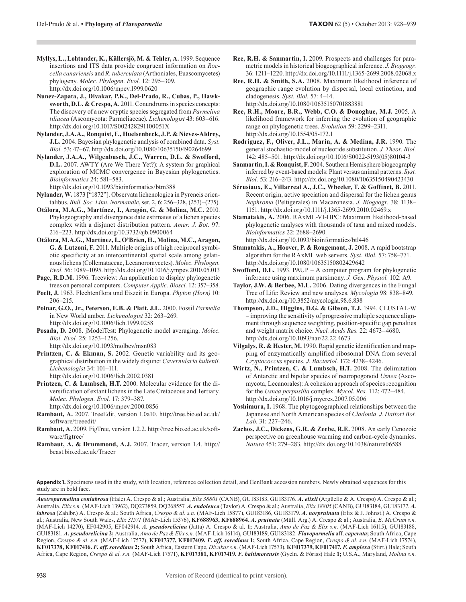- **Myllys, L., Lohtander, K., Källersjö, M. & Tehler, A.** 1999. Sequence insertions and ITS data provide congruent information on *Roccella canariensis* and *R. tuberculata* (Arthoniales, Euascomycetes) phylogeny. *Molec. Phylogen. Evol.* 12: 295–309. http://dx.doi.org/10.1006/mpev.1999.0620
- **Nunez-Zapata, J., Divakar, P.K., Del-Prado, R., Cubas, P., Hawksworth, D.L. & Crespo, A.** 2011. Conundrums in species concepts: The discovery of a new cryptic species segregated from *Parmelina tiliacea* (Ascomycota: Parmeliaceae). *Lichenologist* 43: 603–616. http://dx.doi.org/10.1017/S002428291100051X
- **Nylander, J.A.A., Ronquist, F., Huelsenbeck, J.P. & Nieves-Aldrey, J.L.** 2004. Bayesian phylogenetic analysis of combined data. *Syst. Biol.* 53: 47–67. http://dx.doi.org/10.1080/10635150490264699
- **Nylander, J.A.A., Wilgenbusch, J.C., Warren, D.L. & Swofford, D.L.** 2007. AWTY (Are We There Yet?): A system for graphical exploration of MCMC convergence in Bayesian phylogenetics. *Bioinformatics* 24: 581–583.

http://dx.doi.org/10.1093/bioinformatics/btm388

- **Nylander, W.** 1873 ["1872"]. Observata lichenologica in Pyreneis orientalibus. *Bull. Soc. Linn. Normandie*, ser. 2, 6: 256–328, (253)–(275).
- **Otálora, M.A.G., Martínez, I., Aragón, G. & Molina, M.C.** 2010. Phylogeography and divergence date estimates of a lichen species complex with a disjunct distribution pattern. *Amer. J. Bot.* 97: 216–223. http://dx.doi.org/10.3732/ajb.0900064
- **Otálora, M.A.G., Martinez, I., O'Brien, H., Molina, M.C., Aragon, G. & Lutzoni, F.** 2011. Multiple origins of high reciprocal symbiotic specificity at an intercontinental spatial scale among gelatinous lichens (Collemataceae, Lecanoromycetes). *Molec. Phylogen. Evol.* 56: 1089–1095. http://dx.doi.org/10.1016/j.ympev.2010.05.013
- Page, R.D.M. 1996. Treeview: An application to display phylogenetic trees on personal computers. *Computer Applic. Biosci.* 12: 357–358.
- **Poelt, J.** 1963. Flechtenflora und Eiszeit in Europa. *Phyton (Horn)* 10: 206–215.
- **Poinar, G.O., Jr., Peterson, E.B. & Platt, J.L.** 2000. Fossil *Parmelia*  in New World amber. *Lichenologist* 32: 263–269. http://dx.doi.org/10.1006/lich.1999.0258

**Posada, D.** 2008. jModelTest: Phylogenetic model averaging. *Molec. Biol. Evol.* 25: 1253–1256.

http://dx.doi.org/10.1093/molbev/msn083

**Printzen, C. & Ekman, S.** 2002. Genetic variability and its geographical distribution in the widely disjunct *Cavernularia hultenii*. *Lichenologist* 34: 101–111.

http://dx.doi.org/10.1006/lich.2002.0381

**Printzen, C. & Lumbsch, H.T.** 2000. Molecular evidence for the diversification of extant lichens in the Late Cretaceous and Tertiary. *Molec. Phylogen. Evol.* 17: 379–387.

http://dx.doi.org/10.1006/mpev.2000.0856

- **Rambaut, A.** 2007. TreeEdit, version 1.0a10. http://tree.bio.ed.ac.uk/ software/treeedit/
- **Rambaut, A.** 2009. FigTree, version 1.2.2. http://tree.bio.ed.ac.uk/software/figtree/
- **Rambaut, A. & Drummond, A.J.** 2007. Tracer, version 1.4. http:// beast.bio.ed.ac.uk/Tracer
- **Ree, R.H. & Sanmartin, I.** 2009. Prospects and challenges for parametric models in historical biogeographical inference. *J. Biogeogr.* 36: 1211–1220. http://dx.doi.org/10.1111/j.1365-2699.2008.02068.x
- **Ree, R.H. & Smith, S.A.** 2008. Maximum likelihood inference of geographic range evolution by dispersal, local extinction, and cladogenesis. *Syst. Biol.* 57: 4–14. http://dx.doi.org/10.1080/10635150701883881
- **Ree, R.H., Moore, B.R., Webb, C.O. & Donoghue, M.J.** 2005. A likelihood framework for inferring the evolution of geographic range on phylogenetic trees. *Evolution* 59: 2299–2311. http://dx.doi.org/10.1554/05-172.1
- **Rodriguez, F., Oliver, J.L., Marin, A. & Medina, J.R.** 1990. The general stochastic-model of nucleotide substitution. *J. Theor. Biol.* 142: 485–501. http://dx.doi.org/10.1016/S0022-5193(05)80104-3
- **Sanmartin, I. & Ronquist, F.** 2004. Southern Hemisphere biogeography inferred by event-based models: Plant versus animal patterns. *Syst. Biol.* 53: 216–243. http://dx.doi.org/10.1080/10635150490423430
- **Sérusiaux, E., Villarreal A., J.C., Wheeler, T. & Goffinet, B.** 2011. Recent origin, active speciation and dispersal for the lichen genus *Nephroma* (Peltigerales) in Macaronesia. *J. Biogeogr.* 38: 1138– 1151. http://dx.doi.org/10.1111/j.1365-2699.2010.02469.x
- **Stamatakis, A.** 2006. RAxML-VI-HPC: Maximum likelihood-based phylogenetic analyses with thousands of taxa and mixed models. *Bioinformatics* 22: 2688–2690. http://dx.doi.org/10.1093/bioinformatics/btl446
- **Stamatakis, A., Hoover, P. & Rougemont, J. 2008. A rapid bootstrap** algorithm for the RAxML web servers. *Syst. Biol.* 57: 758–771. http://dx.doi.org/10.1080/10635150802429642
- **Swofford, D.L.** 1993. PAUP A computer program for phylogenetic inference using maximum parsimony. *J. Gen. Physiol.* 102: A9.
- **Taylor, J.W. & Berbee, M.L.** 2006. Dating divergences in the Fungal Tree of Life: Review and new analyses. *Mycologia* 98: 838–849. http://dx.doi.org/10.3852/mycologia.98.6.838
- **Thompson, J.D., Higgins, D.G. & Gibson, T.J.** 1994. CLUSTAL-W – improving the sensitivity of progressive multiple sequence alignment through sequence weighting, position-specific gap penalties and weight matrix choice. *Nucl. Acids Res.* 22: 4673–4680. http://dx.doi.org/10.1093/nar/22.22.4673
- **Vilgalys, R. & Hester, M.** 1990. Rapid genetic identification and mapping of enzymatically amplified ribosomal DNA from several *Cryptococcus* species. *J. Bacteriol.* 172: 4238–4246.
- **Wirtz, N., Printzen, C. & Lumbsch, H.T.** 2008. The delimitation of Antarctic and bipolar species of neuropogonoid *Usnea* (Ascomycota, Lecanorales): A cohesion approach of species recognition for the *Usnea perpusilla* complex. *Mycol. Res.* 112: 472–484. http://dx.doi.org/10.1016/j.mycres.2007.05.006
- **Yoshimura, I.** 1968. The phytogeographical relationships between the Japanese and North American species of *Cladonia*. *J. Hattori Bot. Lab.* 31: 227–246.
- **Zachos, J.C., Dickens, G.R. & Zeebe, R.E.** 2008. An early Cenozoic perspective on greenhouse warming and carbon-cycle dynamics. *Nature* 451: 279–283. http://dx.doi.org/10.1038/nature06588

**Appendix 1.** Specimens used in the study, with location, reference collection detail, and GenBank accession numbers. Newly obtained sequences for this study are in bold face.

*Austroparmelina conlabrosa* (Hale) A. Crespo & al.; Australia, *Elix 38801* (CANB), GU183183, GU183176. *A. elixii* (Argüello & A. Crespo) A. Crespo & al.; Australia, *Elix s.n.* (MAF-Lich 13962), DQ273859, DQ268557. *A. endoleuca* (Taylor) A. Crespo & al.; Australia, *Elix 38805* (CANB), GU183184, GU183177. *A. labrosa* (Zahlbr.) A. Crespo & al.; South Africa, *Crespo & al. s.n.* (MAF-Lich 15877), GU183186, GU183179. *A. norpruinata* (Elix & J. Johnst.) A. Crespo & al.; Australia, New South Wales, *Elix 31571* (MAF-Lich 15376), **KF688963, KF688964.** *A. pruinata* (Müll. Arg.) A. Crespo & al.; Australia, *E. McCrum s.n.* (MAF-Lich 14270), EF042905, EF042914. *A. pseudorelicina* (Jatta) A. Crespo & al. **1;** Australia, *Amo de Paz & Elix s.n.* (MAF-Lich 16115), GU183188, GU183181. *A. pseudorelicina* **2;** Australia, *Amo de Paz & Elix s.n.* (MAF-Lich 16114), GU183189, GU183182. *Flavoparmelia* aff. *caperata***;** South Africa, Cape Region, *Crespo & al. s.n.* (MAF-Lich 17572), **KF017377, KF017409.** *F. aff. soredians* **1;** South Africa, Cape Region, *Crespo & al. s.n.* (MAF-Lich 17574), **KF017378, KF017416.** *F. aff. soredians* **2;** South Africa, Eastern Cape, *Divakar s.n.* (MAF-Lich 17573), **KF017379, KF017417.** *F. amplexa* (Stirt.) Hale; South Africa, Cape Region, *Crespo & al. s.n.* (MAF-Lich 17571), **KF017381, KF017419.** *F. baltimorensis* (Gyeln. & Fóriss) Hale **1;** U.S.A., Maryland, *Molina s.n.*